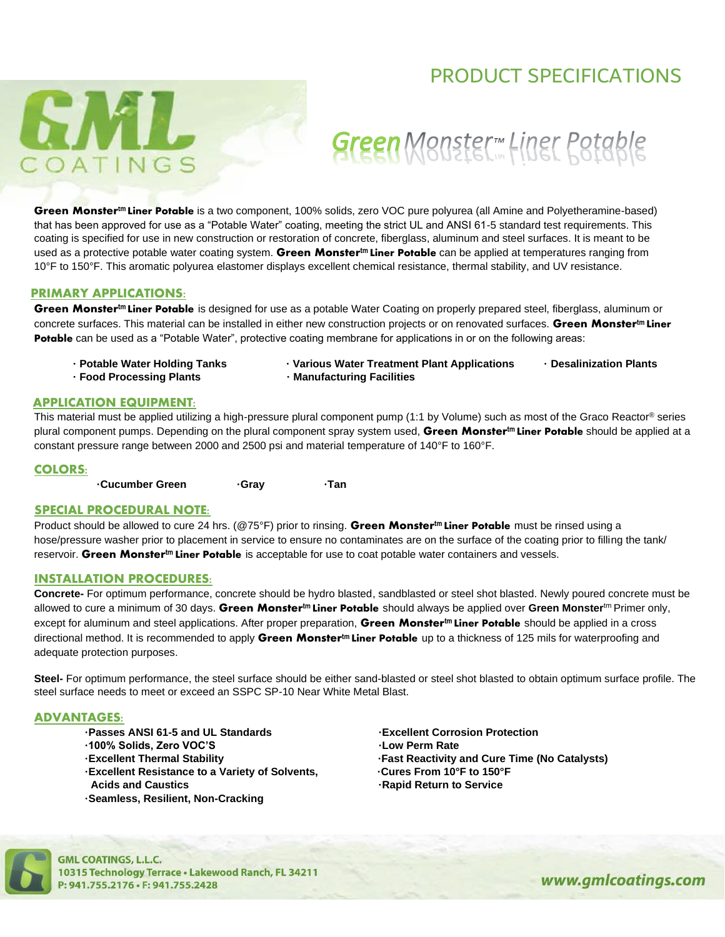## PRODUCT SPECIFICATIONS

# Green Monster - Liner Potable

**Green Monstertm Liner Potable** is a two component, 100% solids, zero VOC pure polyurea (all Amine and Polyetheramine-based) that has been approved for use as a "Potable Water" coating, meeting the strict UL and ANSI 61-5 standard test requirements. This coating is specified for use in new construction or restoration of concrete, fiberglass, aluminum and steel surfaces. It is meant to be used as a protective potable water coating system. **Green Monstertm Liner Potable** can be applied at temperatures ranging from 10°F to 150°F. This aromatic polyurea elastomer displays excellent chemical resistance, thermal stability, and UV resistance.

### PRIMARY APPLICATIONS:

57.71 L

**Green Monstertm Liner Potable** is designed for use as a potable Water Coating on properly prepared steel, fiberglass, aluminum or concrete surfaces. This material can be installed in either new construction projects or on renovated surfaces. **Green Monstertm Liner Potable** can be used as a "Potable Water", protective coating membrane for applications in or on the following areas:

- 
- **· Food Processing Plants · Manufacturing Facilities**
- **· Potable Water Holding Tanks · Various Water Treatment Plant Applications · Desalinization Plants**

### APPLICATION EQUIPMENT:

This material must be applied utilizing a high-pressure plural component pump (1:1 by Volume) such as most of the Graco Reactor<sup>®</sup> series plural component pumps. Depending on the plural component spray system used, **Green Monstertm Liner Potable** should be applied at a constant pressure range between 2000 and 2500 psi and material temperature of 140°F to 160°F.

### COLORS:

j

**·Cucumber Green ·Gray ·Tan**

### SPECIAL PROCEDURAL NOTE:

Product should be allowed to cure 24 hrs. (@75°F) prior to rinsing. **Green Monstertm Liner Potable** must be rinsed using a hose/pressure washer prior to placement in service to ensure no contaminates are on the surface of the coating prior to filling the tank/ reservoir. **Green Monstertm Liner Potable** is acceptable for use to coat potable water containers and vessels.

### INSTALLATION PROCEDURES:

**Concrete-** For optimum performance, concrete should be hydro blasted, sandblasted or steel shot blasted. Newly poured concrete must be allowed to cure a minimum of 30 days. **Green Monstertm Liner Potable** should always be applied over **Green Monster**tm Primer only, except for aluminum and steel applications. After proper preparation, **Green Monstertm Liner Potable** should be applied in a cross directional method. It is recommended to apply **Green Monstertm Liner Potable** up to a thickness of 125 mils for waterproofing and adequate protection purposes.

**Steel-** For optimum performance, the steel surface should be either sand-blasted or steel shot blasted to obtain optimum surface profile. The steel surface needs to meet or exceed an SSPC SP-10 Near White Metal Blast.

### ADVANTAGES:

- **·Passes ANSI 61-5 and UL Standards ·Excellent Corrosion Protection**
- **·100% Solids, Zero VOC'S ·Low Perm Rate**
- 
- **·Excellent Resistance to a Variety of Solvents, ·Cures From 10°F to 150°F Acids and Caustics ·Rapid Return to Service**
- **·Seamless, Resilient, Non-Cracking**

 **·Excellent Thermal Stability ·Fast Reactivity and Cure Time (No Catalysts)** 



**GML COATINGS, L.L.C.** 10315 Technology Terrace . Lakewood Ranch, FL 34211 P: 941.755.2176 · F: 941.755.2428

www.gmlcoatings.com